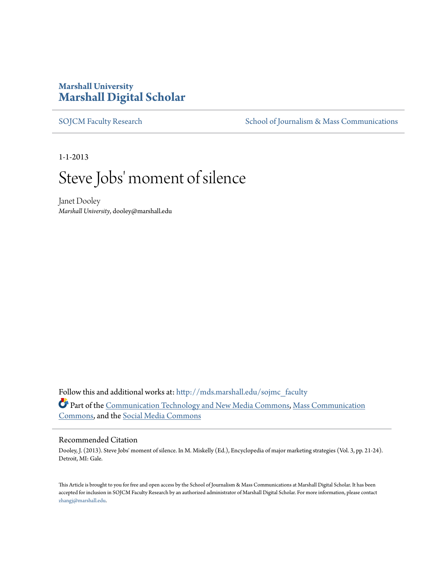# **Marshall University [Marshall Digital Scholar](http://mds.marshall.edu?utm_source=mds.marshall.edu%2Fsojmc_faculty%2F1&utm_medium=PDF&utm_campaign=PDFCoverPages)**

[SOJCM Faculty Research](http://mds.marshall.edu/sojmc_faculty?utm_source=mds.marshall.edu%2Fsojmc_faculty%2F1&utm_medium=PDF&utm_campaign=PDFCoverPages) [School of Journalism & Mass Communications](http://mds.marshall.edu/sojmc?utm_source=mds.marshall.edu%2Fsojmc_faculty%2F1&utm_medium=PDF&utm_campaign=PDFCoverPages)

1-1-2013

# Steve Jobs' moment of silence

Janet Dooley *Marshall University*, dooley@marshall.edu

Follow this and additional works at: [http://mds.marshall.edu/sojmc\\_faculty](http://mds.marshall.edu/sojmc_faculty?utm_source=mds.marshall.edu%2Fsojmc_faculty%2F1&utm_medium=PDF&utm_campaign=PDFCoverPages) Part of the [Communication Technology and New Media Commons](http://network.bepress.com/hgg/discipline/327?utm_source=mds.marshall.edu%2Fsojmc_faculty%2F1&utm_medium=PDF&utm_campaign=PDFCoverPages), [Mass Communication](http://network.bepress.com/hgg/discipline/334?utm_source=mds.marshall.edu%2Fsojmc_faculty%2F1&utm_medium=PDF&utm_campaign=PDFCoverPages) [Commons,](http://network.bepress.com/hgg/discipline/334?utm_source=mds.marshall.edu%2Fsojmc_faculty%2F1&utm_medium=PDF&utm_campaign=PDFCoverPages) and the [Social Media Commons](http://network.bepress.com/hgg/discipline/1249?utm_source=mds.marshall.edu%2Fsojmc_faculty%2F1&utm_medium=PDF&utm_campaign=PDFCoverPages)

#### Recommended Citation

Dooley, J. (2013). Steve Jobs' moment of silence. In M. Miskelly (Ed.), Encyclopedia of major marketing strategies (Vol. 3, pp. 21-24). Detroit, MI: Gale.

This Article is brought to you for free and open access by the School of Journalism & Mass Communications at Marshall Digital Scholar. It has been accepted for inclusion in SOJCM Faculty Research by an authorized administrator of Marshall Digital Scholar. For more information, please contact [zhangj@marshall.edu.](mailto:zhangj@marshall.edu)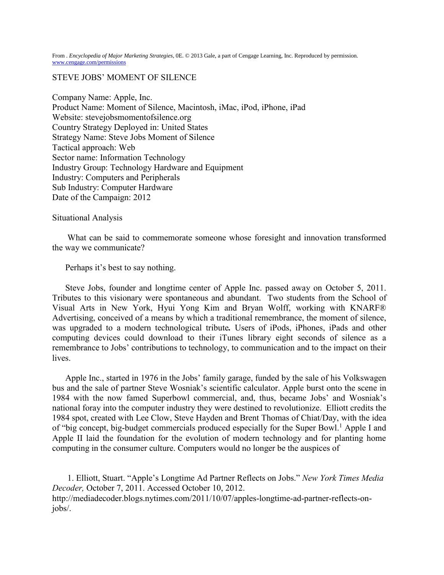From . *Encyclopedia of Major Marketing Strategies*, 0E. © 2013 Gale, a part of Cengage Learning, Inc. Reproduced by permission. [www.cengage.com/permissions](http://www.cengage.com/permissions)

## STEVE JOBS' MOMENT OF SILENCE

Company Name: Apple, Inc. Product Name: Moment of Silence, Macintosh, iMac, iPod, iPhone, iPad Website: stevejobsmomentofsilence.org Country Strategy Deployed in: United States Strategy Name: Steve Jobs Moment of Silence Tactical approach: Web Sector name: Information Technology Industry Group: Technology Hardware and Equipment Industry: Computers and Peripherals Sub Industry: Computer Hardware Date of the Campaign: 2012

#### Situational Analysis

What can be said to commemorate someone whose foresight and innovation transformed the way we communicate?

## Perhaps it's best to say nothing.

Steve Jobs, founder and longtime center of Apple Inc. passed away on October 5, 2011. Tributes to this visionary were spontaneous and abundant. Two students from the School of Visual Arts in New York, Hyui Yong Kim and Bryan Wolff, working with KNARF® Advertising, conceived of a means by which a traditional remembrance, the moment of silence, was upgraded to a modern technological tribute*.* Users of iPods, iPhones, iPads and other computing devices could download to their iTunes library eight seconds of silence as a remembrance to Jobs' contributions to technology, to communication and to the impact on their lives.

Apple Inc., started in 1976 in the Jobs' family garage, funded by the sale of his Volkswagen bus and the sale of partner Steve Wosniak's scientific calculator. Apple burst onto the scene in 1984 with the now famed Superbowl commercial, and, thus, became Jobs' and Wosniak's national foray into the computer industry they were destined to revolutionize. Elliott credits the 1984 spot, created with Lee Clow, Steve Hayden and Brent Thomas of Chiat/Day, with the idea of "big concept, big-budget commercials produced especially for the Super Bowl.<sup>1</sup> Apple I and Apple II laid the foundation for the evolution of modern technology and for planting home computing in the consumer culture. Computers would no longer be the auspices of

1. Elliott, Stuart. "Apple's Longtime Ad Partner Reflects on Jobs." *New York Times Media Decoder,* October 7, 2011. Accessed October 10, 2012. http://mediadecoder.blogs.nytimes.com/2011/10/07/apples-longtime-ad-partner-reflects-onjobs/.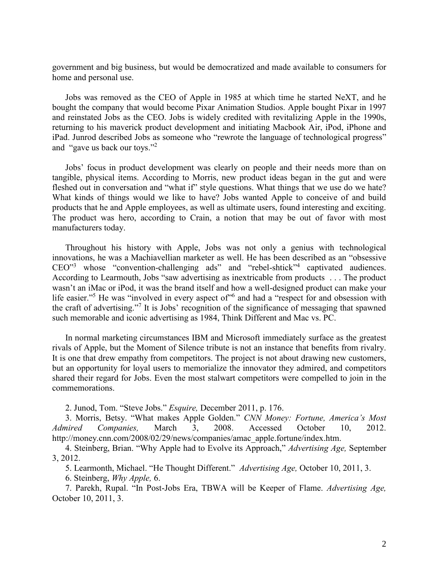government and big business, but would be democratized and made available to consumers for home and personal use.

Jobs was removed as the CEO of Apple in 1985 at which time he started NeXT, and he bought the company that would become Pixar Animation Studios. Apple bought Pixar in 1997 and reinstated Jobs as the CEO. Jobs is widely credited with revitalizing Apple in the 1990s, returning to his maverick product development and initiating Macbook Air, iPod, iPhone and iPad. Junrod described Jobs as someone who "rewrote the language of technological progress" and "gave us back our toys." 2

Jobs' focus in product development was clearly on people and their needs more than on tangible, physical items. According to Morris, new product ideas began in the gut and were fleshed out in conversation and "what if" style questions. What things that we use do we hate? What kinds of things would we like to have? Jobs wanted Apple to conceive of and build products that he and Apple employees, as well as ultimate users, found interesting and exciting. The product was hero, according to Crain, a notion that may be out of favor with most manufacturers today.

Throughout his history with Apple, Jobs was not only a genius with technological innovations, he was a Machiavellian marketer as well. He has been described as an "obsessive  $CEO^{\gamma3}$  whose "convention-challenging ads" and "rebel-shtick"<sup>4</sup> captivated audiences. According to Learmouth, Jobs "saw advertising as inextricable from products . . . The product wasn't an iMac or iPod, it was the brand itself and how a well-designed product can make your life easier."<sup>5</sup> He was "involved in every aspect of" and had a "respect for and obsession with the craft of advertising." 7 It is Jobs' recognition of the significance of messaging that spawned such memorable and iconic advertising as 1984, Think Different and Mac vs. PC.

In normal marketing circumstances IBM and Microsoft immediately surface as the greatest rivals of Apple, but the Moment of Silence tribute is not an instance that benefits from rivalry. It is one that drew empathy from competitors. The project is not about drawing new customers, but an opportunity for loyal users to memorialize the innovator they admired, and competitors shared their regard for Jobs. Even the most stalwart competitors were compelled to join in the commemorations.

2. Junod, Tom. "Steve Jobs." *Esquire,* December 2011, p. 176.

3. Morris, Betsy. "What makes Apple Golden." *CNN Money: Fortune, America's Most Admired Companies,* March 3, 2008. Accessed October 10, 2012. http://money.cnn.com/2008/02/29/news/companies/amac\_apple.fortune/index.htm.

4. Steinberg, Brian. "Why Apple had to Evolve its Approach," *Advertising Age,* September 3, 2012.

5. Learmonth, Michael. "He Thought Different." *Advertising Age,* October 10, 2011, 3.

6. Steinberg, *Why Apple,* 6.

7. Parekh, Rupal. "In Post-Jobs Era, TBWA will be Keeper of Flame. *Advertising Age,*  October 10, 2011, 3.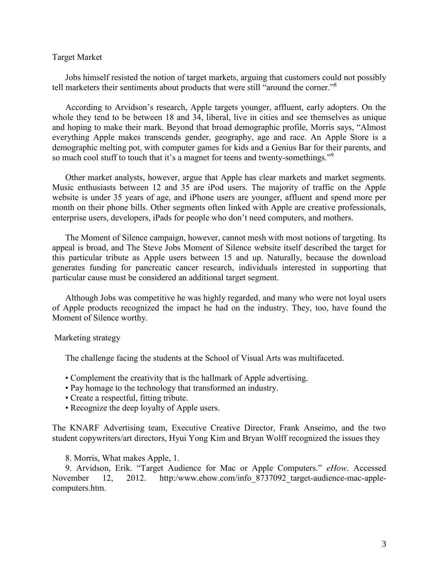## Target Market

Jobs himself resisted the notion of target markets, arguing that customers could not possibly tell marketers their sentiments about products that were still "around the corner."<sup>8</sup>

According to Arvidson's research, Apple targets younger, affluent, early adopters. On the whole they tend to be between 18 and 34, liberal, live in cities and see themselves as unique and hoping to make their mark. Beyond that broad demographic profile, Morris says, "Almost everything Apple makes transcends gender, geography, age and race. An Apple Store is a demographic melting pot, with computer games for kids and a Genius Bar for their parents, and so much cool stuff to touch that it's a magnet for teens and twenty-somethings."<sup>9</sup>

Other market analysts, however, argue that Apple has clear markets and market segments. Music enthusiasts between 12 and 35 are iPod users. The majority of traffic on the Apple website is under 35 years of age, and iPhone users are younger, affluent and spend more per month on their phone bills. Other segments often linked with Apple are creative professionals, enterprise users, developers, iPads for people who don't need computers, and mothers.

The Moment of Silence campaign, however, cannot mesh with most notions of targeting. Its appeal is broad, and The Steve Jobs Moment of Silence website itself described the target for this particular tribute as Apple users between 15 and up. Naturally, because the download generates funding for pancreatic cancer research, individuals interested in supporting that particular cause must be considered an additional target segment.

Although Jobs was competitive he was highly regarded, and many who were not loyal users of Apple products recognized the impact he had on the industry. They, too, have found the Moment of Silence worthy.

#### Marketing strategy

The challenge facing the students at the School of Visual Arts was multifaceted.

- Complement the creativity that is the hallmark of Apple advertising.
- Pay homage to the technology that transformed an industry.
- Create a respectful, fitting tribute.
- Recognize the deep loyalty of Apple users.

The KNARF Advertising team, Executive Creative Director, Frank Anseimo, and the two student copywriters/art directors, Hyui Yong Kim and Bryan Wolff recognized the issues they

8. Morris, What makes Apple, 1.

9. Arvidson, Erik. "Target Audience for Mac or Apple Computers." *eHow*. Accessed November 12, 2012. http:/www.ehow.com/info\_8737092\_target-audience-mac-applecomputers.htm.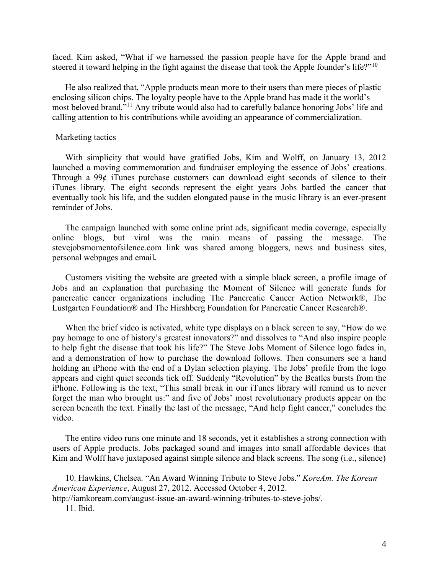faced. Kim asked, "What if we harnessed the passion people have for the Apple brand and steered it toward helping in the fight against the disease that took the Apple founder's life?"<sup>10</sup>

He also realized that, "Apple products mean more to their users than mere pieces of plastic enclosing silicon chips. The loyalty people have to the Apple brand has made it the world's most beloved brand."<sup>11</sup> Any tribute would also had to carefully balance honoring Jobs' life and calling attention to his contributions while avoiding an appearance of commercialization.

#### Marketing tactics

With simplicity that would have gratified Jobs, Kim and Wolff, on January 13, 2012 launched a moving commemoration and fundraiser employing the essence of Jobs' creations. Through a 99¢ iTunes purchase customers can download eight seconds of silence to their iTunes library. The eight seconds represent the eight years Jobs battled the cancer that eventually took his life, and the sudden elongated pause in the music library is an ever-present reminder of Jobs.

The campaign launched with some online print ads, significant media coverage, especially online blogs, but viral was the main means of passing the message. The stevejobsmomentofsilence.com link was shared among bloggers, news and business sites, personal webpages and email*.*

Customers visiting the website are greeted with a simple black screen, a profile image of Jobs and an explanation that purchasing the Moment of Silence will generate funds for pancreatic cancer organizations including The Pancreatic Cancer Action Network®, The Lustgarten Foundation® and The Hirshberg Foundation for Pancreatic Cancer Research®.

When the brief video is activated, white type displays on a black screen to say, "How do we pay homage to one of history's greatest innovators?" and dissolves to "And also inspire people to help fight the disease that took his life?" The Steve Jobs Moment of Silence logo fades in, and a demonstration of how to purchase the download follows. Then consumers see a hand holding an iPhone with the end of a Dylan selection playing. The Jobs' profile from the logo appears and eight quiet seconds tick off. Suddenly "Revolution" by the Beatles bursts from the iPhone. Following is the text, "This small break in our iTunes library will remind us to never forget the man who brought us:" and five of Jobs' most revolutionary products appear on the screen beneath the text. Finally the last of the message, "And help fight cancer," concludes the video.

The entire video runs one minute and 18 seconds, yet it establishes a strong connection with users of Apple products. Jobs packaged sound and images into small affordable devices that Kim and Wolff have juxtaposed against simple silence and black screens. The song (i.e., silence)

10. Hawkins, Chelsea. "An Award Winning Tribute to Steve Jobs." *KoreAm. The Korean American Experience*, August 27, 2012. Accessed October 4, 2012.

http://iamkoream.com/august-issue-an-award-winning-tributes-to-steve-jobs/.

11. Ibid.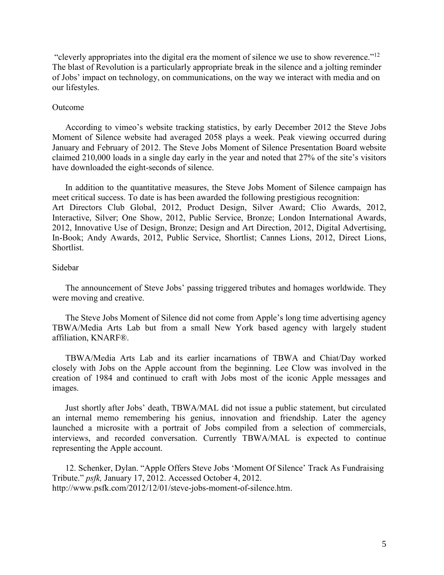"cleverly appropriates into the digital era the moment of silence we use to show reverence."<sup>12</sup> The blast of Revolution is a particularly appropriate break in the silence and a jolting reminder of Jobs' impact on technology, on communications, on the way we interact with media and on our lifestyles.

#### Outcome

According to vimeo's website tracking statistics, by early December 2012 the Steve Jobs Moment of Silence website had averaged 2058 plays a week. Peak viewing occurred during January and February of 2012. The Steve Jobs Moment of Silence Presentation Board website claimed 210,000 loads in a single day early in the year and noted that 27% of the site's visitors have downloaded the eight-seconds of silence.

In addition to the quantitative measures, the Steve Jobs Moment of Silence campaign has meet critical success. To date is has been awarded the following prestigious recognition: Art Directors Club Global, 2012, Product Design, Silver Award; Clio Awards, 2012, Interactive, Silver; One Show, 2012, Public Service, Bronze; London International Awards, 2012, Innovative Use of Design, Bronze; Design and Art Direction, 2012, Digital Advertising, In-Book; Andy Awards, 2012, Public Service, Shortlist; Cannes Lions, 2012, Direct Lions, Shortlist.

# Sidebar

The announcement of Steve Jobs' passing triggered tributes and homages worldwide. They were moving and creative.

The Steve Jobs Moment of Silence did not come from Apple's long time advertising agency TBWA/Media Arts Lab but from a small New York based agency with largely student affiliation, KNARF®.

TBWA/Media Arts Lab and its earlier incarnations of TBWA and Chiat/Day worked closely with Jobs on the Apple account from the beginning. Lee Clow was involved in the creation of 1984 and continued to craft with Jobs most of the iconic Apple messages and images.

Just shortly after Jobs' death, TBWA/MAL did not issue a public statement, but circulated an internal memo remembering his genius, innovation and friendship. Later the agency launched a microsite with a portrait of Jobs compiled from a selection of commercials, interviews, and recorded conversation. Currently TBWA/MAL is expected to continue representing the Apple account.

12. Schenker, Dylan. "Apple Offers Steve Jobs 'Moment Of Silence' Track As Fundraising Tribute." *psfk,* January 17, 2012. Accessed October 4, 2012. http://www.psfk.com/2012/12/01/steve-jobs-moment-of-silence.htm.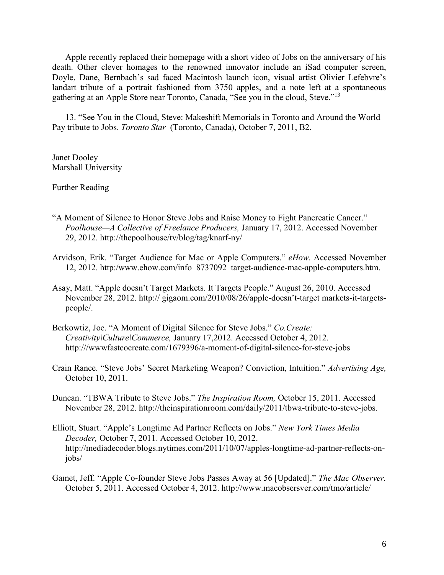Apple recently replaced their homepage with a short video of Jobs on the anniversary of his death. Other clever homages to the renowned innovator include an iSad computer screen, Doyle, Dane, Bernbach's sad faced Macintosh launch icon, visual artist Olivier Lefebvre's landart tribute of a portrait fashioned from 3750 apples, and a note left at a spontaneous gathering at an Apple Store near Toronto, Canada, "See you in the cloud, Steve."<sup>13</sup>

13. "See You in the Cloud, Steve: Makeshift Memorials in Toronto and Around the World Pay tribute to Jobs. *Toronto Star* (Toronto, Canada), October 7, 2011, B2.

Janet Dooley Marshall University

Further Reading

- "A Moment of Silence to Honor Steve Jobs and Raise Money to Fight Pancreatic Cancer." *Poolhouse—A Collective of Freelance Producers,* January 17, 2012. Accessed November 29, 2012. http://thepoolhouse/tv/blog/tag/knarf-ny/
- Arvidson, Erik. "Target Audience for Mac or Apple Computers." *eHow*. Accessed November 12, 2012. http:/www.ehow.com/info\_8737092\_target-audience-mac-apple-computers.htm.
- Asay, Matt. "Apple doesn't Target Markets. It Targets People." August 26, 2010. Accessed November 28, 2012. http:// gigaom.com/2010/08/26/apple-doesn't-target markets-it-targetspeople/.
- Berkowtiz, Joe. "A Moment of Digital Silence for Steve Jobs." *Co.Create: Creativity\Culture\Commerce,* January 17,2012. Accessed October 4, 2012. http:///wwwfastcocreate.com/1679396/a-moment-of-digital-silence-for-steve-jobs
- Crain Rance. "Steve Jobs' Secret Marketing Weapon? Conviction, Intuition." *Advertising Age,*  October 10, 2011.
- Duncan. "TBWA Tribute to Steve Jobs." *The Inspiration Room,* October 15, 2011. Accessed November 28, 2012. http://theinspirationroom.com/daily/2011/tbwa-tribute-to-steve-jobs.
- Elliott, Stuart. "Apple's Longtime Ad Partner Reflects on Jobs." *New York Times Media Decoder,* October 7, 2011. Accessed October 10, 2012. http://mediadecoder.blogs.nytimes.com/2011/10/07/apples-longtime-ad-partner-reflects-onjobs/
- Gamet, Jeff. "Apple Co-founder Steve Jobs Passes Away at 56 [Updated]." *The Mac Observer.*  October 5, 2011. Accessed October 4, 2012. http://www.macobsersver.com/tmo/article/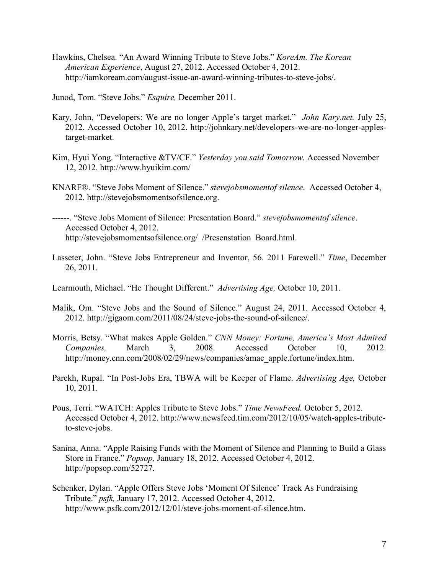Hawkins, Chelsea. "An Award Winning Tribute to Steve Jobs." *KoreAm. The Korean American Experience*, August 27, 2012. Accessed October 4, 2012. http://iamkoream.com/august-issue-an-award-winning-tributes-to-steve-jobs/.

Junod, Tom. "Steve Jobs." *Esquire,* December 2011.

- Kary, John, "Developers: We are no longer Apple's target market." *John Kary.net.* July 25, 2012. Accessed October 10, 2012. http://johnkary.net/developers-we-are-no-longer-applestarget-market.
- Kim, Hyui Yong. "Interactive &TV/CF." *Yesterday you said Tomorrow.* Accessed November 12, 2012. http://www.hyuikim.com/
- KNARF®. "Steve Jobs Moment of Silence." *stevejobsmomentof silence*. Accessed October 4, 2012. http://stevejobsmomentsofsilence.org.

------. "Steve Jobs Moment of Silence: Presentation Board." *stevejobsmomentof silence*. Accessed October 4, 2012. http://stevejobsmomentsofsilence.org/\_/Presenstation\_Board.html.

Lasseter, John. "Steve Jobs Entrepreneur and Inventor, 56. 2011 Farewell." *Time*, December 26, 2011.

Learmouth, Michael. "He Thought Different." *Advertising Age,* October 10, 2011.

- Malik, Om. "Steve Jobs and the Sound of Silence." August 24, 2011. Accessed October 4, 2012. http://gigaom.com/2011/08/24/steve-jobs-the-sound-of-silence/.
- Morris, Betsy. "What makes Apple Golden." *CNN Money: Fortune, America's Most Admired Companies,* March 3, 2008. Accessed October 10, 2012. http://money.cnn.com/2008/02/29/news/companies/amac\_apple.fortune/index.htm.
- Parekh, Rupal. "In Post-Jobs Era, TBWA will be Keeper of Flame. *Advertising Age,* October 10, 2011.
- Pous, Terri. "WATCH: Apples Tribute to Steve Jobs." *Time NewsFeed.* October 5, 2012. Accessed October 4, 2012. http://www.newsfeed.tim.com/2012/10/05/watch-apples-tributeto-steve-jobs.
- Sanina, Anna. "Apple Raising Funds with the Moment of Silence and Planning to Build a Glass Store in France." *Popsop,* January 18, 2012. Accessed October 4, 2012. http://popsop.com/52727.
- Schenker, Dylan. "Apple Offers Steve Jobs 'Moment Of Silence' Track As Fundraising Tribute." *psfk,* January 17, 2012. Accessed October 4, 2012. http://www.psfk.com/2012/12/01/steve-jobs-moment-of-silence.htm.